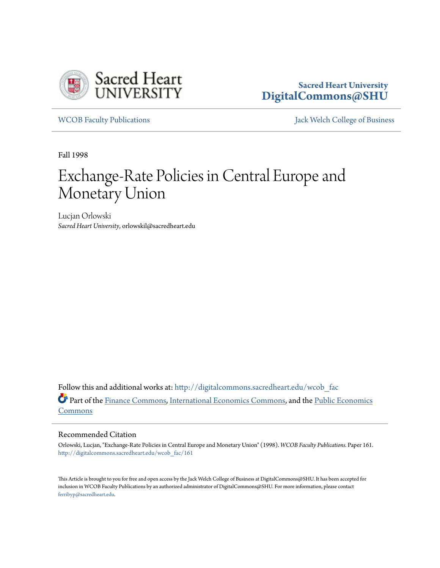

# **Sacred Heart University [DigitalCommons@SHU](http://digitalcommons.sacredheart.edu?utm_source=digitalcommons.sacredheart.edu%2Fwcob_fac%2F161&utm_medium=PDF&utm_campaign=PDFCoverPages)**

[WCOB Faculty Publications](http://digitalcommons.sacredheart.edu/wcob_fac?utm_source=digitalcommons.sacredheart.edu%2Fwcob_fac%2F161&utm_medium=PDF&utm_campaign=PDFCoverPages) [Jack Welch College of Business](http://digitalcommons.sacredheart.edu/wcob?utm_source=digitalcommons.sacredheart.edu%2Fwcob_fac%2F161&utm_medium=PDF&utm_campaign=PDFCoverPages)

Fall 1998

# Exchange-Rate Policies in Central Europe and Monetary Union

Lucjan Orlowski *Sacred Heart University*, orlowskil@sacredheart.edu

Follow this and additional works at: [http://digitalcommons.sacredheart.edu/wcob\\_fac](http://digitalcommons.sacredheart.edu/wcob_fac?utm_source=digitalcommons.sacredheart.edu%2Fwcob_fac%2F161&utm_medium=PDF&utm_campaign=PDFCoverPages) Part of the [Finance Commons](http://network.bepress.com/hgg/discipline/345?utm_source=digitalcommons.sacredheart.edu%2Fwcob_fac%2F161&utm_medium=PDF&utm_campaign=PDFCoverPages), [International Economics Commons](http://network.bepress.com/hgg/discipline/348?utm_source=digitalcommons.sacredheart.edu%2Fwcob_fac%2F161&utm_medium=PDF&utm_campaign=PDFCoverPages), and the [Public Economics](http://network.bepress.com/hgg/discipline/351?utm_source=digitalcommons.sacredheart.edu%2Fwcob_fac%2F161&utm_medium=PDF&utm_campaign=PDFCoverPages) [Commons](http://network.bepress.com/hgg/discipline/351?utm_source=digitalcommons.sacredheart.edu%2Fwcob_fac%2F161&utm_medium=PDF&utm_campaign=PDFCoverPages)

#### Recommended Citation

Orlowski, Lucjan, "Exchange-Rate Policies in Central Europe and Monetary Union" (1998). *WCOB Faculty Publications.* Paper 161. [http://digitalcommons.sacredheart.edu/wcob\\_fac/161](http://digitalcommons.sacredheart.edu/wcob_fac/161?utm_source=digitalcommons.sacredheart.edu%2Fwcob_fac%2F161&utm_medium=PDF&utm_campaign=PDFCoverPages)

This Article is brought to you for free and open access by the Jack Welch College of Business at DigitalCommons@SHU. It has been accepted for inclusion in WCOB Faculty Publications by an authorized administrator of DigitalCommons@SHU. For more information, please contact [ferribyp@sacredheart.edu](mailto:ferribyp@sacredheart.edu).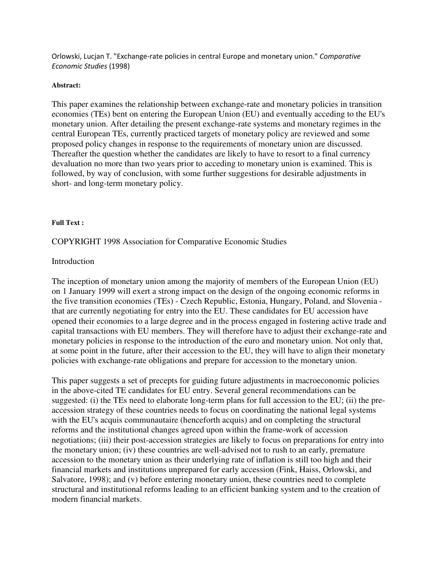Orlowski, Lucjan T. "Exchange-rate policies in central Europe and monetary union." Comparative Economic Studies (1998)

#### **Abstract:**

This paper examines the relationship between exchange-rate and monetary policies in transition economies (TEs) bent on entering the European Union (EU) and eventually acceding to the EU's monetary union. After detailing the present exchange-rate systems and monetary regimes in the central European TEs, currently practiced targets of monetary policy are reviewed and some proposed policy changes in response to the requirements of monetary union are discussed. Thereafter the question whether the candidates are likely to have to resort to a final currency devaluation no more than two years prior to acceding to monetary union is examined. This is followed, by way of conclusion, with some further suggestions for desirable adjustments in short- and long-term monetary policy.

#### **Full Text :**

#### COPYRIGHT 1998 Association for Comparative Economic Studies

#### Introduction

The inception of monetary union among the majority of members of the European Union (EU) on 1 January 1999 will exert a strong impact on the design of the ongoing economic reforms in the five transition economies (TEs) - Czech Republic, Estonia, Hungary, Poland, and Slovenia that are currently negotiating for entry into the EU. These candidates for EU accession have opened their economies to a large degree and in the process engaged in fostering active trade and capital transactions with EU members. They will therefore have to adjust their exchange-rate and monetary policies in response to the introduction of the euro and monetary union. Not only that, at some point in the future, after their accession to the EU, they will have to align their monetary policies with exchange-rate obligations and prepare for accession to the monetary union.

This paper suggests a set of precepts for guiding future adjustments in macroeconomic policies in the above-cited TE candidates for EU entry. Several general recommendations can be suggested: (i) the TEs need to elaborate long-term plans for full accession to the EU; (ii) the preaccession strategy of these countries needs to focus on coordinating the national legal systems with the EU's acquis communautaire (henceforth acquis) and on completing the structural reforms and the institutional changes agreed upon within the frame-work of accession negotiations; (iii) their post-accession strategies are likely to focus on preparations for entry into the monetary union; (iv) these countries are well-advised not to rush to an early, premature accession to the monetary union as their underlying rate of inflation is still too high and their financial markets and institutions unprepared for early accession (Fink, Haiss, Orlowski, and Salvatore, 1998); and (v) before entering monetary union, these countries need to complete structural and institutional reforms leading to an efficient banking system and to the creation of modern financial markets.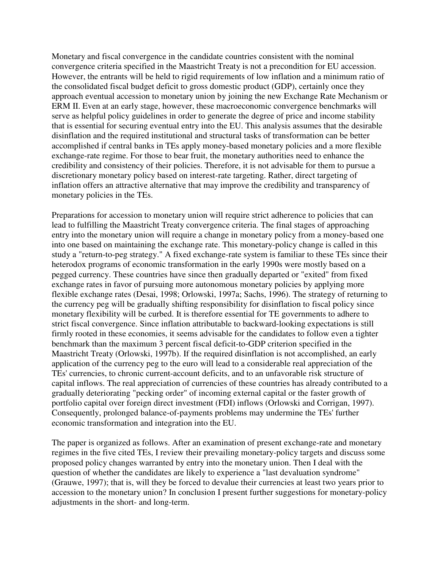Monetary and fiscal convergence in the candidate countries consistent with the nominal convergence criteria specified in the Maastricht Treaty is not a precondition for EU accession. However, the entrants will be held to rigid requirements of low inflation and a minimum ratio of the consolidated fiscal budget deficit to gross domestic product (GDP), certainly once they approach eventual accession to monetary union by joining the new Exchange Rate Mechanism or ERM II. Even at an early stage, however, these macroeconomic convergence benchmarks will serve as helpful policy guidelines in order to generate the degree of price and income stability that is essential for securing eventual entry into the EU. This analysis assumes that the desirable disinflation and the required institutional and structural tasks of transformation can be better accomplished if central banks in TEs apply money-based monetary policies and a more flexible exchange-rate regime. For those to bear fruit, the monetary authorities need to enhance the credibility and consistency of their policies. Therefore, it is not advisable for them to pursue a discretionary monetary policy based on interest-rate targeting. Rather, direct targeting of inflation offers an attractive alternative that may improve the credibility and transparency of monetary policies in the TEs.

Preparations for accession to monetary union will require strict adherence to policies that can lead to fulfilling the Maastricht Treaty convergence criteria. The final stages of approaching entry into the monetary union will require a change in monetary policy from a money-based one into one based on maintaining the exchange rate. This monetary-policy change is called in this study a "return-to-peg strategy." A fixed exchange-rate system is familiar to these TEs since their heterodox programs of economic transformation in the early 1990s were mostly based on a pegged currency. These countries have since then gradually departed or "exited" from fixed exchange rates in favor of pursuing more autonomous monetary policies by applying more flexible exchange rates (Desai, 1998; Orlowski, 1997a; Sachs, 1996). The strategy of returning to the currency peg will be gradually shifting responsibility for disinflation to fiscal policy since monetary flexibility will be curbed. It is therefore essential for TE governments to adhere to strict fiscal convergence. Since inflation attributable to backward-looking expectations is still firmly rooted in these economies, it seems advisable for the candidates to follow even a tighter benchmark than the maximum 3 percent fiscal deficit-to-GDP criterion specified in the Maastricht Treaty (Orlowski, 1997b). If the required disinflation is not accomplished, an early application of the currency peg to the euro will lead to a considerable real appreciation of the TEs' currencies, to chronic current-account deficits, and to an unfavorable risk structure of capital inflows. The real appreciation of currencies of these countries has already contributed to a gradually deteriorating "pecking order" of incoming external capital or the faster growth of portfolio capital over foreign direct investment (FDI) inflows (Orlowski and Corrigan, 1997). Consequently, prolonged balance-of-payments problems may undermine the TEs' further economic transformation and integration into the EU.

The paper is organized as follows. After an examination of present exchange-rate and monetary regimes in the five cited TEs, I review their prevailing monetary-policy targets and discuss some proposed policy changes warranted by entry into the monetary union. Then I deal with the question of whether the candidates are likely to experience a "last devaluation syndrome" (Grauwe, 1997); that is, will they be forced to devalue their currencies at least two years prior to accession to the monetary union? In conclusion I present further suggestions for monetary-policy adjustments in the short- and long-term.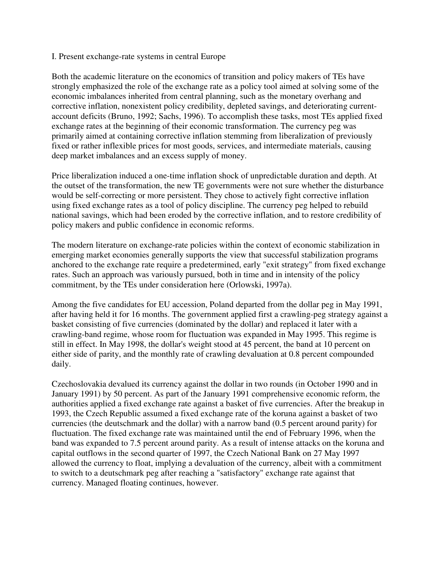#### I. Present exchange-rate systems in central Europe

Both the academic literature on the economics of transition and policy makers of TEs have strongly emphasized the role of the exchange rate as a policy tool aimed at solving some of the economic imbalances inherited from central planning, such as the monetary overhang and corrective inflation, nonexistent policy credibility, depleted savings, and deteriorating currentaccount deficits (Bruno, 1992; Sachs, 1996). To accomplish these tasks, most TEs applied fixed exchange rates at the beginning of their economic transformation. The currency peg was primarily aimed at containing corrective inflation stemming from liberalization of previously fixed or rather inflexible prices for most goods, services, and intermediate materials, causing deep market imbalances and an excess supply of money.

Price liberalization induced a one-time inflation shock of unpredictable duration and depth. At the outset of the transformation, the new TE governments were not sure whether the disturbance would be self-correcting or more persistent. They chose to actively fight corrective inflation using fixed exchange rates as a tool of policy discipline. The currency peg helped to rebuild national savings, which had been eroded by the corrective inflation, and to restore credibility of policy makers and public confidence in economic reforms.

The modern literature on exchange-rate policies within the context of economic stabilization in emerging market economies generally supports the view that successful stabilization programs anchored to the exchange rate require a predetermined, early "exit strategy" from fixed exchange rates. Such an approach was variously pursued, both in time and in intensity of the policy commitment, by the TEs under consideration here (Orlowski, 1997a).

Among the five candidates for EU accession, Poland departed from the dollar peg in May 1991, after having held it for 16 months. The government applied first a crawling-peg strategy against a basket consisting of five currencies (dominated by the dollar) and replaced it later with a crawling-band regime, whose room for fluctuation was expanded in May 1995. This regime is still in effect. In May 1998, the dollar's weight stood at 45 percent, the band at 10 percent on either side of parity, and the monthly rate of crawling devaluation at 0.8 percent compounded daily.

Czechoslovakia devalued its currency against the dollar in two rounds (in October 1990 and in January 1991) by 50 percent. As part of the January 1991 comprehensive economic reform, the authorities applied a fixed exchange rate against a basket of five currencies. After the breakup in 1993, the Czech Republic assumed a fixed exchange rate of the koruna against a basket of two currencies (the deutschmark and the dollar) with a narrow band (0.5 percent around parity) for fluctuation. The fixed exchange rate was maintained until the end of February 1996, when the band was expanded to 7.5 percent around parity. As a result of intense attacks on the koruna and capital outflows in the second quarter of 1997, the Czech National Bank on 27 May 1997 allowed the currency to float, implying a devaluation of the currency, albeit with a commitment to switch to a deutschmark peg after reaching a "satisfactory" exchange rate against that currency. Managed floating continues, however.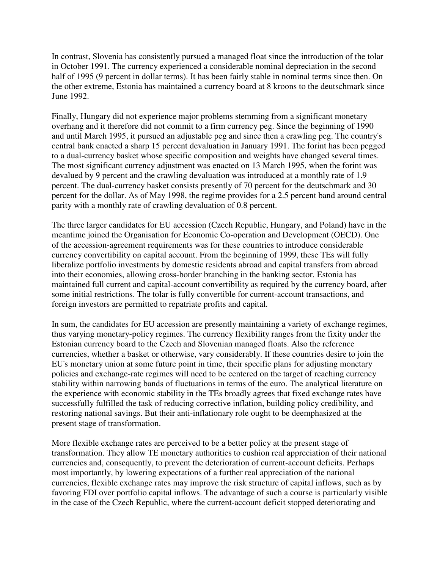In contrast, Slovenia has consistently pursued a managed float since the introduction of the tolar in October 1991. The currency experienced a considerable nominal depreciation in the second half of 1995 (9 percent in dollar terms). It has been fairly stable in nominal terms since then. On the other extreme, Estonia has maintained a currency board at 8 kroons to the deutschmark since June 1992.

Finally, Hungary did not experience major problems stemming from a significant monetary overhang and it therefore did not commit to a firm currency peg. Since the beginning of 1990 and until March 1995, it pursued an adjustable peg and since then a crawling peg. The country's central bank enacted a sharp 15 percent devaluation in January 1991. The forint has been pegged to a dual-currency basket whose specific composition and weights have changed several times. The most significant currency adjustment was enacted on 13 March 1995, when the forint was devalued by 9 percent and the crawling devaluation was introduced at a monthly rate of 1.9 percent. The dual-currency basket consists presently of 70 percent for the deutschmark and 30 percent for the dollar. As of May 1998, the regime provides for a 2.5 percent band around central parity with a monthly rate of crawling devaluation of 0.8 percent.

The three larger candidates for EU accession (Czech Republic, Hungary, and Poland) have in the meantime joined the Organisation for Economic Co-operation and Development (OECD). One of the accession-agreement requirements was for these countries to introduce considerable currency convertibility on capital account. From the beginning of 1999, these TEs will fully liberalize portfolio investments by domestic residents abroad and capital transfers from abroad into their economies, allowing cross-border branching in the banking sector. Estonia has maintained full current and capital-account convertibility as required by the currency board, after some initial restrictions. The tolar is fully convertible for current-account transactions, and foreign investors are permitted to repatriate profits and capital.

In sum, the candidates for EU accession are presently maintaining a variety of exchange regimes, thus varying monetary-policy regimes. The currency flexibility ranges from the fixity under the Estonian currency board to the Czech and Slovenian managed floats. Also the reference currencies, whether a basket or otherwise, vary considerably. If these countries desire to join the EU's monetary union at some future point in time, their specific plans for adjusting monetary policies and exchange-rate regimes will need to be centered on the target of reaching currency stability within narrowing bands of fluctuations in terms of the euro. The analytical literature on the experience with economic stability in the TEs broadly agrees that fixed exchange rates have successfully fulfilled the task of reducing corrective inflation, building policy credibility, and restoring national savings. But their anti-inflationary role ought to be deemphasized at the present stage of transformation.

More flexible exchange rates are perceived to be a better policy at the present stage of transformation. They allow TE monetary authorities to cushion real appreciation of their national currencies and, consequently, to prevent the deterioration of current-account deficits. Perhaps most importantly, by lowering expectations of a further real appreciation of the national currencies, flexible exchange rates may improve the risk structure of capital inflows, such as by favoring FDI over portfolio capital inflows. The advantage of such a course is particularly visible in the case of the Czech Republic, where the current-account deficit stopped deteriorating and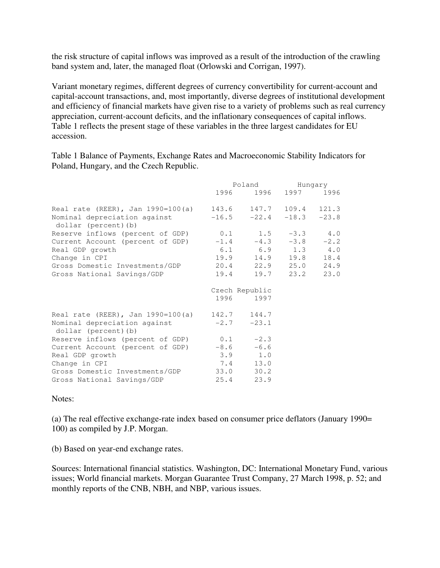the risk structure of capital inflows was improved as a result of the introduction of the crawling band system and, later, the managed float (Orlowski and Corrigan, 1997).

Variant monetary regimes, different degrees of currency convertibility for current-account and capital-account transactions, and, most importantly, diverse degrees of institutional development and efficiency of financial markets have given rise to a variety of problems such as real currency appreciation, current-account deficits, and the inflationary consequences of capital inflows. Table 1 reflects the present stage of these variables in the three largest candidates for EU accession.

Table 1 Balance of Payments, Exchange Rates and Macroeconomic Stability Indicators for Poland, Hungary, and the Czech Republic.

|                                                     | Poland      |                      | Hunqary       |             |
|-----------------------------------------------------|-------------|----------------------|---------------|-------------|
|                                                     | 1996 — 1996 | 1996                 | 1997 — 1997   | 1996        |
| Real rate (REER), Jan 1990=100(a)                   |             | 143.6 147.7 109.4    |               | 121.3       |
| Nominal depreciation against<br>dollar (percent)(b) |             | $-16.5 -22.4 -18.3$  |               | $-23.8$     |
| Reserve inflows (percent of GDP)                    |             | $0.1$ 1.5 $-3.3$     |               | 4.0         |
| Current Account (percent of GDP)                    |             | $-1.4$ $-4.3$ $-3.8$ |               | $-2.2$      |
| Real GDP growth                                     |             | $6.1$ $6.9$          |               | $1.3$ $4.0$ |
| Change in CPI                                       | 19.9        |                      | 14.9 19.8     | 18.4        |
| Gross Domestic Investments/GDP                      |             | 20.4 22.9 25.0       |               | 24.9        |
| Gross National Savings/GDP                          | 19.4        |                      | $19.7$ $23.2$ | 23.0        |
|                                                     |             | Czech Republic       |               |             |
|                                                     | 1996 - 1997 | 1997                 |               |             |
| Real rate (REER), Jan 1990=100(a)                   |             | 142.7 144.7          |               |             |
| Nominal depreciation against<br>dollar (percent)(b) |             | $-2.7 -23.1$         |               |             |
| Reserve inflows (percent of GDP)                    | 0.1         | $-2.3$               |               |             |
| Current Account (percent of GDP)                    |             | $-8.6 - 6.6$         |               |             |
| Real GDP growth                                     |             | $3.9$ 1.0            |               |             |
| Change in CPI                                       | 7.4         | 13.0                 |               |             |
| Gross Domestic Investments/GDP                      | 33.0        | 30.2                 |               |             |
| Gross National Savings/GDP                          | 25.4        | 23.9                 |               |             |

#### Notes:

(a) The real effective exchange-rate index based on consumer price deflators (January 1990= 100) as compiled by J.P. Morgan.

(b) Based on year-end exchange rates.

Sources: International financial statistics. Washington, DC: International Monetary Fund, various issues; World financial markets. Morgan Guarantee Trust Company, 27 March 1998, p. 52; and monthly reports of the CNB, NBH, and NBP, various issues.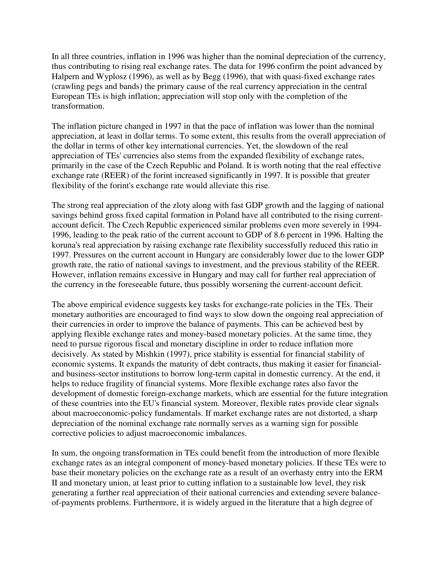In all three countries, inflation in 1996 was higher than the nominal depreciation of the currency, thus contributing to rising real exchange rates. The data for 1996 confirm the point advanced by Halpern and Wyplosz (1996), as well as by Begg (1996), that with quasi-fixed exchange rates (crawling pegs and bands) the primary cause of the real currency appreciation in the central European TEs is high inflation; appreciation will stop only with the completion of the transformation.

The inflation picture changed in 1997 in that the pace of inflation was lower than the nominal appreciation, at least in dollar terms. To some extent, this results from the overall appreciation of the dollar in terms of other key international currencies. Yet, the slowdown of the real appreciation of TEs' currencies also stems from the expanded flexibility of exchange rates, primarily in the case of the Czech Republic and Poland. It is worth noting that the real effective exchange rate (REER) of the forint increased significantly in 1997. It is possible that greater flexibility of the forint's exchange rate would alleviate this rise.

The strong real appreciation of the zloty along with fast GDP growth and the lagging of national savings behind gross fixed capital formation in Poland have all contributed to the rising currentaccount deficit. The Czech Republic experienced similar problems even more severely in 1994- 1996, leading to the peak ratio of the current account to GDP of 8.6 percent in 1996. Halting the koruna's real appreciation by raising exchange rate flexibility successfully reduced this ratio in 1997. Pressures on the current account in Hungary are considerably lower due to the lower GDP growth rate, the ratio of national savings to investment, and the previous stability of the REER. However, inflation remains excessive in Hungary and may call for further real appreciation of the currency in the foreseeable future, thus possibly worsening the current-account deficit.

The above empirical evidence suggests key tasks for exchange-rate policies in the TEs. Their monetary authorities are encouraged to find ways to slow down the ongoing real appreciation of their currencies in order to improve the balance of payments. This can be achieved best by applying flexible exchange rates and money-based monetary policies. At the same time, they need to pursue rigorous fiscal and monetary discipline in order to reduce inflation more decisively. As stated by Mishkin (1997), price stability is essential for financial stability of economic systems. It expands the maturity of debt contracts, thus making it easier for financialand business-sector institutions to borrow long-term capital in domestic currency. At the end, it helps to reduce fragility of financial systems. More flexible exchange rates also favor the development of domestic foreign-exchange markets, which are essential for the future integration of these countries into the EU's financial system. Moreover, flexible rates provide clear signals about macroeconomic-policy fundamentals. If market exchange rates are not distorted, a sharp depreciation of the nominal exchange rate normally serves as a warning sign for possible corrective policies to adjust macroeconomic imbalances.

In sum, the ongoing transformation in TEs could benefit from the introduction of more flexible exchange rates as an integral component of money-based monetary policies. If these TEs were to base their monetary policies on the exchange rate as a result of an overhasty entry into the ERM II and monetary union, at least prior to cutting inflation to a sustainable low level, they risk generating a further real appreciation of their national currencies and extending severe balanceof-payments problems. Furthermore, it is widely argued in the literature that a high degree of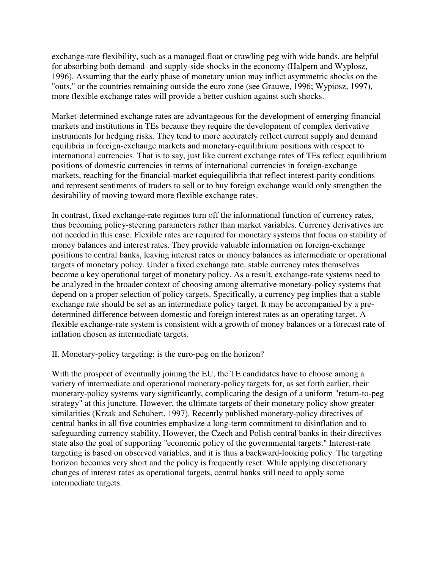exchange-rate flexibility, such as a managed float or crawling peg with wide bands, are helpful for absorbing both demand- and supply-side shocks in the economy (Halpern and Wyplosz, 1996). Assuming that the early phase of monetary union may inflict asymmetric shocks on the "outs," or the countries remaining outside the euro zone (see Grauwe, 1996; Wypiosz, 1997), more flexible exchange rates will provide a better cushion against such shocks.

Market-determined exchange rates are advantageous for the development of emerging financial markets and institutions in TEs because they require the development of complex derivative instruments for hedging risks. They tend to more accurately reflect current supply and demand equilibria in foreign-exchange markets and monetary-equilibrium positions with respect to international currencies. That is to say, just like current exchange rates of TEs reflect equilibrium positions of domestic currencies in terms of international currencies in foreign-exchange markets, reaching for the financial-market equiequilibria that reflect interest-parity conditions and represent sentiments of traders to sell or to buy foreign exchange would only strengthen the desirability of moving toward more flexible exchange rates.

In contrast, fixed exchange-rate regimes turn off the informational function of currency rates, thus becoming policy-steering parameters rather than market variables. Currency derivatives are not needed in this case. Flexible rates are required for monetary systems that focus on stability of money balances and interest rates. They provide valuable information on foreign-exchange positions to central banks, leaving interest rates or money balances as intermediate or operational targets of monetary policy. Under a fixed exchange rate, stable currency rates themselves become a key operational target of monetary policy. As a result, exchange-rate systems need to be analyzed in the broader context of choosing among alternative monetary-policy systems that depend on a proper selection of policy targets. Specifically, a currency peg implies that a stable exchange rate should be set as an intermediate policy target. It may be accompanied by a predetermined difference between domestic and foreign interest rates as an operating target. A flexible exchange-rate system is consistent with a growth of money balances or a forecast rate of inflation chosen as intermediate targets.

II. Monetary-policy targeting: is the euro-peg on the horizon?

With the prospect of eventually joining the EU, the TE candidates have to choose among a variety of intermediate and operational monetary-policy targets for, as set forth earlier, their monetary-policy systems vary significantly, complicating the design of a uniform "return-to-peg strategy" at this juncture. However, the ultimate targets of their monetary policy show greater similarities (Krzak and Schubert, 1997). Recently published monetary-policy directives of central banks in all five countries emphasize a long-term commitment to disinflation and to safeguarding currency stability. However, the Czech and Polish central banks in their directives state also the goal of supporting "economic policy of the governmental targets." Interest-rate targeting is based on observed variables, and it is thus a backward-looking policy. The targeting horizon becomes very short and the policy is frequently reset. While applying discretionary changes of interest rates as operational targets, central banks still need to apply some intermediate targets.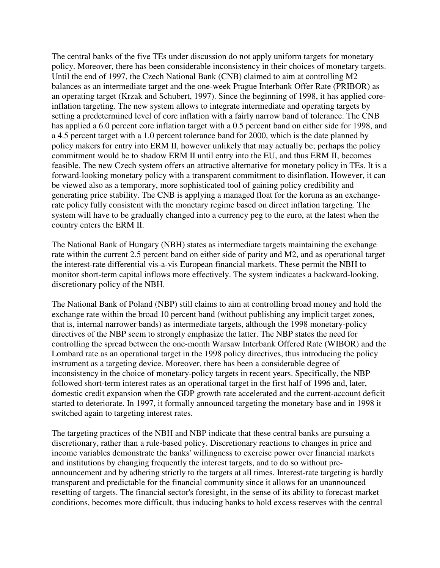The central banks of the five TEs under discussion do not apply uniform targets for monetary policy. Moreover, there has been considerable inconsistency in their choices of monetary targets. Until the end of 1997, the Czech National Bank (CNB) claimed to aim at controlling M2 balances as an intermediate target and the one-week Prague Interbank Offer Rate (PRIBOR) as an operating target (Krzak and Schubert, 1997). Since the beginning of 1998, it has applied coreinflation targeting. The new system allows to integrate intermediate and operating targets by setting a predetermined level of core inflation with a fairly narrow band of tolerance. The CNB has applied a 6.0 percent core inflation target with a 0.5 percent band on either side for 1998, and a 4.5 percent target with a 1.0 percent tolerance band for 2000, which is the date planned by policy makers for entry into ERM II, however unlikely that may actually be; perhaps the policy commitment would be to shadow ERM II until entry into the EU, and thus ERM II, becomes feasible. The new Czech system offers an attractive alternative for monetary policy in TEs. It is a forward-looking monetary policy with a transparent commitment to disinflation. However, it can be viewed also as a temporary, more sophisticated tool of gaining policy credibility and generating price stability. The CNB is applying a managed float for the koruna as an exchangerate policy fully consistent with the monetary regime based on direct inflation targeting. The system will have to be gradually changed into a currency peg to the euro, at the latest when the country enters the ERM II.

The National Bank of Hungary (NBH) states as intermediate targets maintaining the exchange rate within the current 2.5 percent band on either side of parity and M2, and as operational target the interest-rate differential vis-a-vis European financial markets. These permit the NBH to monitor short-term capital inflows more effectively. The system indicates a backward-looking, discretionary policy of the NBH.

The National Bank of Poland (NBP) still claims to aim at controlling broad money and hold the exchange rate within the broad 10 percent band (without publishing any implicit target zones, that is, internal narrower bands) as intermediate targets, although the 1998 monetary-policy directives of the NBP seem to strongly emphasize the latter. The NBP states the need for controlling the spread between the one-month Warsaw Interbank Offered Rate (WIBOR) and the Lombard rate as an operational target in the 1998 policy directives, thus introducing the policy instrument as a targeting device. Moreover, there has been a considerable degree of inconsistency in the choice of monetary-policy targets in recent years. Specifically, the NBP followed short-term interest rates as an operational target in the first half of 1996 and, later, domestic credit expansion when the GDP growth rate accelerated and the current-account deficit started to deteriorate. In 1997, it formally announced targeting the monetary base and in 1998 it switched again to targeting interest rates.

The targeting practices of the NBH and NBP indicate that these central banks are pursuing a discretionary, rather than a rule-based policy. Discretionary reactions to changes in price and income variables demonstrate the banks' willingness to exercise power over financial markets and institutions by changing frequently the interest targets, and to do so without preannouncement and by adhering strictly to the targets at all times. Interest-rate targeting is hardly transparent and predictable for the financial community since it allows for an unannounced resetting of targets. The financial sector's foresight, in the sense of its ability to forecast market conditions, becomes more difficult, thus inducing banks to hold excess reserves with the central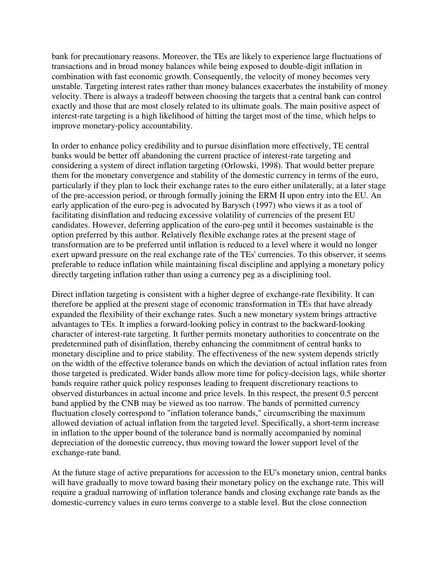bank for precautionary reasons. Moreover, the TEs are likely to experience large fluctuations of transactions and in broad money balances while being exposed to double-digit inflation in combination with fast economic growth. Consequently, the velocity of money becomes very unstable. Targeting interest rates rather than money balances exacerbates the instability of money velocity. There is always a tradeoff between choosing the targets that a central bank can control exactly and those that are most closely related to its ultimate goals. The main positive aspect of interest-rate targeting is a high likelihood of hitting the target most of the time, which helps to improve monetary-policy accountability.

In order to enhance policy credibility and to pursue disinflation more effectively, TE central banks would be better off abandoning the current practice of interest-rate targeting and considering a system of direct inflation targeting (Orlowski, 1998). That would better prepare them for the monetary convergence and stability of the domestic currency in terms of the euro, particularly if they plan to lock their exchange rates to the euro either unilaterally, at a later stage of the pre-accession period, or through formally joining the ERM II upon entry into the EU. An early application of the euro-peg is advocated by Barysch (1997) who views it as a tool of facilitating disinflation and reducing excessive volatility of currencies of the present EU candidates. However, deferring application of the euro-peg until it becomes sustainable is the option preferred by this author. Relatively flexible exchange rates at the present stage of transformation are to be preferred until inflation is reduced to a level where it would no longer exert upward pressure on the real exchange rate of the TEs' currencies. To this observer, it seems preferable to reduce inflation while maintaining fiscal discipline and applying a monetary policy directly targeting inflation rather than using a currency peg as a disciplining tool.

Direct inflation targeting is consistent with a higher degree of exchange-rate flexibility. It can therefore be applied at the present stage of economic transformation in TEs that have already expanded the flexibility of their exchange rates. Such a new monetary system brings attractive advantages to TEs. It implies a forward-looking policy in contrast to the backward-looking character of interest-rate targeting. It further permits monetary authorities to concentrate on the predetermined path of disinflation, thereby enhancing the commitment of central banks to monetary discipline and to price stability. The effectiveness of the new system depends strictly on the width of the effective tolerance bands on which the deviation of actual inflation rates from those targeted is predicated. Wider bands allow more time for policy-decision lags, while shorter bands require rather quick policy responses leading to frequent discretionary reactions to observed disturbances in actual income and price levels. In this respect, the present 0.5 percent band applied by the CNB may be viewed as too narrow. The bands of permitted currency fluctuation closely correspond to "inflation tolerance bands," circumscribing the maximum allowed deviation of actual inflation from the targeted level. Specifically, a short-term increase in inflation to the upper bound of the tolerance band is normally accompanied by nominal depreciation of the domestic currency, thus moving toward the lower support level of the exchange-rate band.

At the future stage of active preparations for accession to the EU's monetary union, central banks will have gradually to move toward basing their monetary policy on the exchange rate. This will require a gradual narrowing of inflation tolerance bands and closing exchange rate bands as the domestic-currency values in euro terms converge to a stable level. But the close connection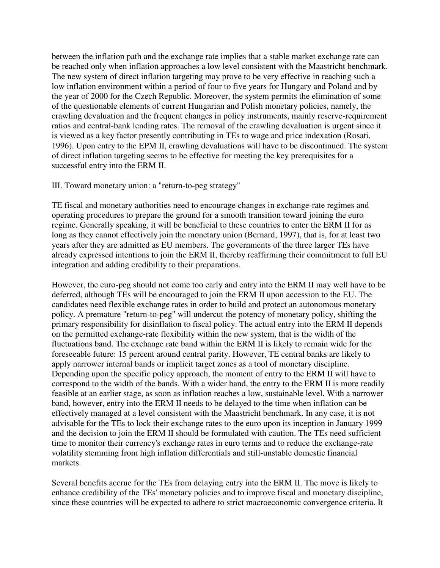between the inflation path and the exchange rate implies that a stable market exchange rate can be reached only when inflation approaches a low level consistent with the Maastricht benchmark. The new system of direct inflation targeting may prove to be very effective in reaching such a low inflation environment within a period of four to five years for Hungary and Poland and by the year of 2000 for the Czech Republic. Moreover, the system permits the elimination of some of the questionable elements of current Hungarian and Polish monetary policies, namely, the crawling devaluation and the frequent changes in policy instruments, mainly reserve-requirement ratios and central-bank lending rates. The removal of the crawling devaluation is urgent since it is viewed as a key factor presently contributing in TEs to wage and price indexation (Rosati, 1996). Upon entry to the EPM II, crawling devaluations will have to be discontinued. The system of direct inflation targeting seems to be effective for meeting the key prerequisites for a successful entry into the ERM II.

# III. Toward monetary union: a "return-to-peg strategy"

TE fiscal and monetary authorities need to encourage changes in exchange-rate regimes and operating procedures to prepare the ground for a smooth transition toward joining the euro regime. Generally speaking, it will be beneficial to these countries to enter the ERM II for as long as they cannot effectively join the monetary union (Bernard, 1997), that is, for at least two years after they are admitted as EU members. The governments of the three larger TEs have already expressed intentions to join the ERM II, thereby reaffirming their commitment to full EU integration and adding credibility to their preparations.

However, the euro-peg should not come too early and entry into the ERM II may well have to be deferred, although TEs will be encouraged to join the ERM II upon accession to the EU. The candidates need flexible exchange rates in order to build and protect an autonomous monetary policy. A premature "return-to-peg" will undercut the potency of monetary policy, shifting the primary responsibility for disinflation to fiscal policy. The actual entry into the ERM II depends on the permitted exchange-rate flexibility within the new system, that is the width of the fluctuations band. The exchange rate band within the ERM II is likely to remain wide for the foreseeable future: 15 percent around central parity. However, TE central banks are likely to apply narrower internal bands or implicit target zones as a tool of monetary discipline. Depending upon the specific policy approach, the moment of entry to the ERM II will have to correspond to the width of the bands. With a wider band, the entry to the ERM II is more readily feasible at an earlier stage, as soon as inflation reaches a low, sustainable level. With a narrower band, however, entry into the ERM II needs to be delayed to the time when inflation can be effectively managed at a level consistent with the Maastricht benchmark. In any case, it is not advisable for the TEs to lock their exchange rates to the euro upon its inception in January 1999 and the decision to join the ERM II should be formulated with caution. The TEs need sufficient time to monitor their currency's exchange rates in euro terms and to reduce the exchange-rate volatility stemming from high inflation differentials and still-unstable domestic financial markets.

Several benefits accrue for the TEs from delaying entry into the ERM II. The move is likely to enhance credibility of the TEs' monetary policies and to improve fiscal and monetary discipline, since these countries will be expected to adhere to strict macroeconomic convergence criteria. It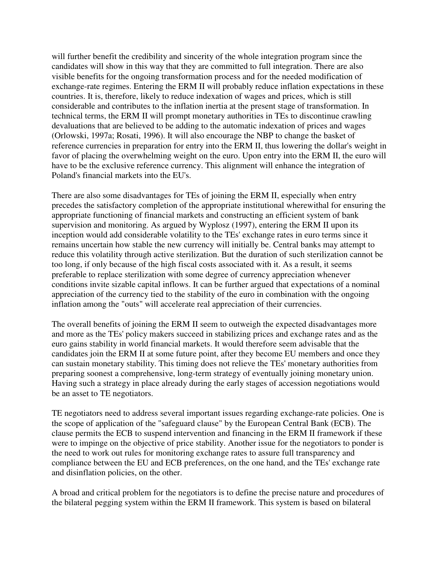will further benefit the credibility and sincerity of the whole integration program since the candidates will show in this way that they are committed to full integration. There are also visible benefits for the ongoing transformation process and for the needed modification of exchange-rate regimes. Entering the ERM II will probably reduce inflation expectations in these countries. It is, therefore, likely to reduce indexation of wages and prices, which is still considerable and contributes to the inflation inertia at the present stage of transformation. In technical terms, the ERM II will prompt monetary authorities in TEs to discontinue crawling devaluations that are believed to be adding to the automatic indexation of prices and wages (Orlowski, 1997a; Rosati, 1996). It will also encourage the NBP to change the basket of reference currencies in preparation for entry into the ERM II, thus lowering the dollar's weight in favor of placing the overwhelming weight on the euro. Upon entry into the ERM II, the euro will have to be the exclusive reference currency. This alignment will enhance the integration of Poland's financial markets into the EU's.

There are also some disadvantages for TEs of joining the ERM II, especially when entry precedes the satisfactory completion of the appropriate institutional wherewithal for ensuring the appropriate functioning of financial markets and constructing an efficient system of bank supervision and monitoring. As argued by Wyplosz (1997), entering the ERM II upon its inception would add considerable volatility to the TEs' exchange rates in euro terms since it remains uncertain how stable the new currency will initially be. Central banks may attempt to reduce this volatility through active sterilization. But the duration of such sterilization cannot be too long, if only because of the high fiscal costs associated with it. As a result, it seems preferable to replace sterilization with some degree of currency appreciation whenever conditions invite sizable capital inflows. It can be further argued that expectations of a nominal appreciation of the currency tied to the stability of the euro in combination with the ongoing inflation among the "outs" will accelerate real appreciation of their currencies.

The overall benefits of joining the ERM II seem to outweigh the expected disadvantages more and more as the TEs' policy makers succeed in stabilizing prices and exchange rates and as the euro gains stability in world financial markets. It would therefore seem advisable that the candidates join the ERM II at some future point, after they become EU members and once they can sustain monetary stability. This timing does not relieve the TEs' monetary authorities from preparing soonest a comprehensive, long-term strategy of eventually joining monetary union. Having such a strategy in place already during the early stages of accession negotiations would be an asset to TE negotiators.

TE negotiators need to address several important issues regarding exchange-rate policies. One is the scope of application of the "safeguard clause" by the European Central Bank (ECB). The clause permits the ECB to suspend intervention and financing in the ERM II framework if these were to impinge on the objective of price stability. Another issue for the negotiators to ponder is the need to work out rules for monitoring exchange rates to assure full transparency and compliance between the EU and ECB preferences, on the one hand, and the TEs' exchange rate and disinflation policies, on the other.

A broad and critical problem for the negotiators is to define the precise nature and procedures of the bilateral pegging system within the ERM II framework. This system is based on bilateral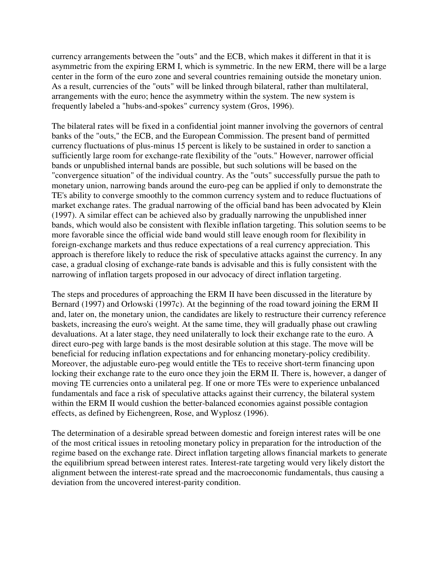currency arrangements between the "outs" and the ECB, which makes it different in that it is asymmetric from the expiring ERM I, which is symmetric. In the new ERM, there will be a large center in the form of the euro zone and several countries remaining outside the monetary union. As a result, currencies of the "outs" will be linked through bilateral, rather than multilateral, arrangements with the euro; hence the asymmetry within the system. The new system is frequently labeled a "hubs-and-spokes" currency system (Gros, 1996).

The bilateral rates will be fixed in a confidential joint manner involving the governors of central banks of the "outs," the ECB, and the European Commission. The present band of permitted currency fluctuations of plus-minus 15 percent is likely to be sustained in order to sanction a sufficiently large room for exchange-rate flexibility of the "outs." However, narrower official bands or unpublished internal bands are possible, but such solutions will be based on the "convergence situation" of the individual country. As the "outs" successfully pursue the path to monetary union, narrowing bands around the euro-peg can be applied if only to demonstrate the TE's ability to converge smoothly to the common currency system and to reduce fluctuations of market exchange rates. The gradual narrowing of the official band has been advocated by Klein (1997). A similar effect can be achieved also by gradually narrowing the unpublished inner bands, which would also be consistent with flexible inflation targeting. This solution seems to be more favorable since the official wide band would still leave enough room for flexibility in foreign-exchange markets and thus reduce expectations of a real currency appreciation. This approach is therefore likely to reduce the risk of speculative attacks against the currency. In any case, a gradual closing of exchange-rate bands is advisable and this is fully consistent with the narrowing of inflation targets proposed in our advocacy of direct inflation targeting.

The steps and procedures of approaching the ERM II have been discussed in the literature by Bernard (1997) and Orlowski (1997c). At the beginning of the road toward joining the ERM II and, later on, the monetary union, the candidates are likely to restructure their currency reference baskets, increasing the euro's weight. At the same time, they will gradually phase out crawling devaluations. At a later stage, they need unilaterally to lock their exchange rate to the euro. A direct euro-peg with large bands is the most desirable solution at this stage. The move will be beneficial for reducing inflation expectations and for enhancing monetary-policy credibility. Moreover, the adjustable euro-peg would entitle the TEs to receive short-term financing upon locking their exchange rate to the euro once they join the ERM II. There is, however, a danger of moving TE currencies onto a unilateral peg. If one or more TEs were to experience unbalanced fundamentals and face a risk of speculative attacks against their currency, the bilateral system within the ERM II would cushion the better-balanced economies against possible contagion effects, as defined by Eichengreen, Rose, and Wyplosz (1996).

The determination of a desirable spread between domestic and foreign interest rates will be one of the most critical issues in retooling monetary policy in preparation for the introduction of the regime based on the exchange rate. Direct inflation targeting allows financial markets to generate the equilibrium spread between interest rates. Interest-rate targeting would very likely distort the alignment between the interest-rate spread and the macroeconomic fundamentals, thus causing a deviation from the uncovered interest-parity condition.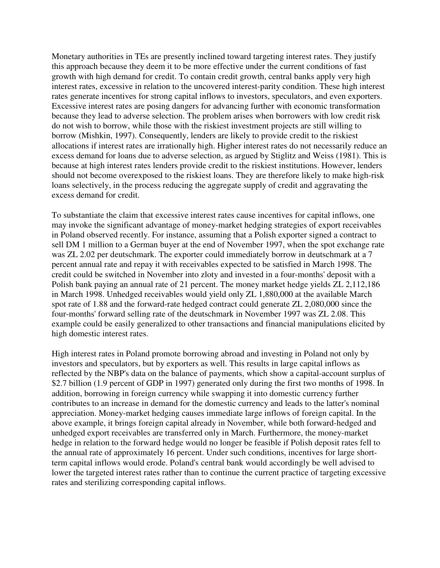Monetary authorities in TEs are presently inclined toward targeting interest rates. They justify this approach because they deem it to be more effective under the current conditions of fast growth with high demand for credit. To contain credit growth, central banks apply very high interest rates, excessive in relation to the uncovered interest-parity condition. These high interest rates generate incentives for strong capital inflows to investors, speculators, and even exporters. Excessive interest rates are posing dangers for advancing further with economic transformation because they lead to adverse selection. The problem arises when borrowers with low credit risk do not wish to borrow, while those with the riskiest investment projects are still willing to borrow (Mishkin, 1997). Consequently, lenders are likely to provide credit to the riskiest allocations if interest rates are irrationally high. Higher interest rates do not necessarily reduce an excess demand for loans due to adverse selection, as argued by Stiglitz and Weiss (1981). This is because at high interest rates lenders provide credit to the riskiest institutions. However, lenders should not become overexposed to the riskiest loans. They are therefore likely to make high-risk loans selectively, in the process reducing the aggregate supply of credit and aggravating the excess demand for credit.

To substantiate the claim that excessive interest rates cause incentives for capital inflows, one may invoke the significant advantage of money-market hedging strategies of export receivables in Poland observed recently. For instance, assuming that a Polish exporter signed a contract to sell DM 1 million to a German buyer at the end of November 1997, when the spot exchange rate was ZL 2.02 per deutschmark. The exporter could immediately borrow in deutschmark at a 7 percent annual rate and repay it with receivables expected to be satisfied in March 1998. The credit could be switched in November into zloty and invested in a four-months' deposit with a Polish bank paying an annual rate of 21 percent. The money market hedge yields ZL 2,112,186 in March 1998. Unhedged receivables would yield only ZL 1,880,000 at the available March spot rate of 1.88 and the forward-rate hedged contract could generate ZL 2,080,000 since the four-months' forward selling rate of the deutschmark in November 1997 was ZL 2.08. This example could be easily generalized to other transactions and financial manipulations elicited by high domestic interest rates.

High interest rates in Poland promote borrowing abroad and investing in Poland not only by investors and speculators, but by exporters as well. This results in large capital inflows as reflected by the NBP's data on the balance of payments, which show a capital-account surplus of \$2.7 billion (1.9 percent of GDP in 1997) generated only during the first two months of 1998. In addition, borrowing in foreign currency while swapping it into domestic currency further contributes to an increase in demand for the domestic currency and leads to the latter's nominal appreciation. Money-market hedging causes immediate large inflows of foreign capital. In the above example, it brings foreign capital already in November, while both forward-hedged and unhedged export receivables are transferred only in March. Furthermore, the money-market hedge in relation to the forward hedge would no longer be feasible if Polish deposit rates fell to the annual rate of approximately 16 percent. Under such conditions, incentives for large shortterm capital inflows would erode. Poland's central bank would accordingly be well advised to lower the targeted interest rates rather than to continue the current practice of targeting excessive rates and sterilizing corresponding capital inflows.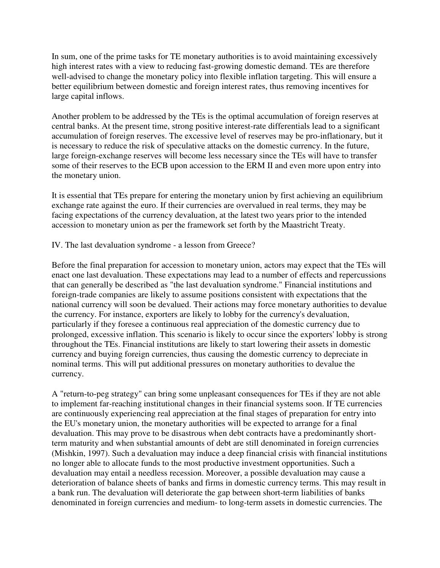In sum, one of the prime tasks for TE monetary authorities is to avoid maintaining excessively high interest rates with a view to reducing fast-growing domestic demand. TEs are therefore well-advised to change the monetary policy into flexible inflation targeting. This will ensure a better equilibrium between domestic and foreign interest rates, thus removing incentives for large capital inflows.

Another problem to be addressed by the TEs is the optimal accumulation of foreign reserves at central banks. At the present time, strong positive interest-rate differentials lead to a significant accumulation of foreign reserves. The excessive level of reserves may be pro-inflationary, but it is necessary to reduce the risk of speculative attacks on the domestic currency. In the future, large foreign-exchange reserves will become less necessary since the TEs will have to transfer some of their reserves to the ECB upon accession to the ERM II and even more upon entry into the monetary union.

It is essential that TEs prepare for entering the monetary union by first achieving an equilibrium exchange rate against the euro. If their currencies are overvalued in real terms, they may be facing expectations of the currency devaluation, at the latest two years prior to the intended accession to monetary union as per the framework set forth by the Maastricht Treaty.

## IV. The last devaluation syndrome - a lesson from Greece?

Before the final preparation for accession to monetary union, actors may expect that the TEs will enact one last devaluation. These expectations may lead to a number of effects and repercussions that can generally be described as "the last devaluation syndrome." Financial institutions and foreign-trade companies are likely to assume positions consistent with expectations that the national currency will soon be devalued. Their actions may force monetary authorities to devalue the currency. For instance, exporters are likely to lobby for the currency's devaluation, particularly if they foresee a continuous real appreciation of the domestic currency due to prolonged, excessive inflation. This scenario is likely to occur since the exporters' lobby is strong throughout the TEs. Financial institutions are likely to start lowering their assets in domestic currency and buying foreign currencies, thus causing the domestic currency to depreciate in nominal terms. This will put additional pressures on monetary authorities to devalue the currency.

A "return-to-peg strategy" can bring some unpleasant consequences for TEs if they are not able to implement far-reaching institutional changes in their financial systems soon. If TE currencies are continuously experiencing real appreciation at the final stages of preparation for entry into the EU's monetary union, the monetary authorities will be expected to arrange for a final devaluation. This may prove to be disastrous when debt contracts have a predominantly shortterm maturity and when substantial amounts of debt are still denominated in foreign currencies (Mishkin, 1997). Such a devaluation may induce a deep financial crisis with financial institutions no longer able to allocate funds to the most productive investment opportunities. Such a devaluation may entail a needless recession. Moreover, a possible devaluation may cause a deterioration of balance sheets of banks and firms in domestic currency terms. This may result in a bank run. The devaluation will deteriorate the gap between short-term liabilities of banks denominated in foreign currencies and medium- to long-term assets in domestic currencies. The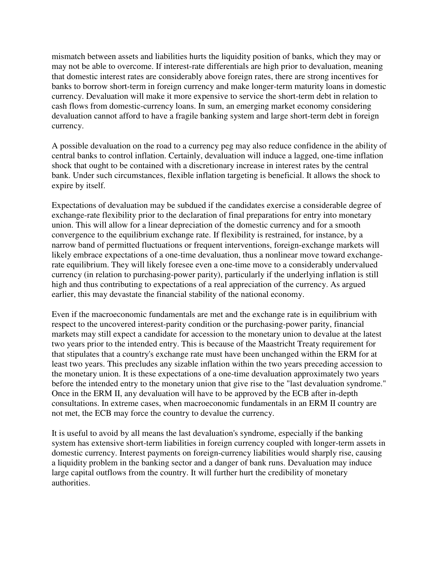mismatch between assets and liabilities hurts the liquidity position of banks, which they may or may not be able to overcome. If interest-rate differentials are high prior to devaluation, meaning that domestic interest rates are considerably above foreign rates, there are strong incentives for banks to borrow short-term in foreign currency and make longer-term maturity loans in domestic currency. Devaluation will make it more expensive to service the short-term debt in relation to cash flows from domestic-currency loans. In sum, an emerging market economy considering devaluation cannot afford to have a fragile banking system and large short-term debt in foreign currency.

A possible devaluation on the road to a currency peg may also reduce confidence in the ability of central banks to control inflation. Certainly, devaluation will induce a lagged, one-time inflation shock that ought to be contained with a discretionary increase in interest rates by the central bank. Under such circumstances, flexible inflation targeting is beneficial. It allows the shock to expire by itself.

Expectations of devaluation may be subdued if the candidates exercise a considerable degree of exchange-rate flexibility prior to the declaration of final preparations for entry into monetary union. This will allow for a linear depreciation of the domestic currency and for a smooth convergence to the equilibrium exchange rate. If flexibility is restrained, for instance, by a narrow band of permitted fluctuations or frequent interventions, foreign-exchange markets will likely embrace expectations of a one-time devaluation, thus a nonlinear move toward exchangerate equilibrium. They will likely foresee even a one-time move to a considerably undervalued currency (in relation to purchasing-power parity), particularly if the underlying inflation is still high and thus contributing to expectations of a real appreciation of the currency. As argued earlier, this may devastate the financial stability of the national economy.

Even if the macroeconomic fundamentals are met and the exchange rate is in equilibrium with respect to the uncovered interest-parity condition or the purchasing-power parity, financial markets may still expect a candidate for accession to the monetary union to devalue at the latest two years prior to the intended entry. This is because of the Maastricht Treaty requirement for that stipulates that a country's exchange rate must have been unchanged within the ERM for at least two years. This precludes any sizable inflation within the two years preceding accession to the monetary union. It is these expectations of a one-time devaluation approximately two years before the intended entry to the monetary union that give rise to the "last devaluation syndrome." Once in the ERM II, any devaluation will have to be approved by the ECB after in-depth consultations. In extreme cases, when macroeconomic fundamentals in an ERM II country are not met, the ECB may force the country to devalue the currency.

It is useful to avoid by all means the last devaluation's syndrome, especially if the banking system has extensive short-term liabilities in foreign currency coupled with longer-term assets in domestic currency. Interest payments on foreign-currency liabilities would sharply rise, causing a liquidity problem in the banking sector and a danger of bank runs. Devaluation may induce large capital outflows from the country. It will further hurt the credibility of monetary authorities.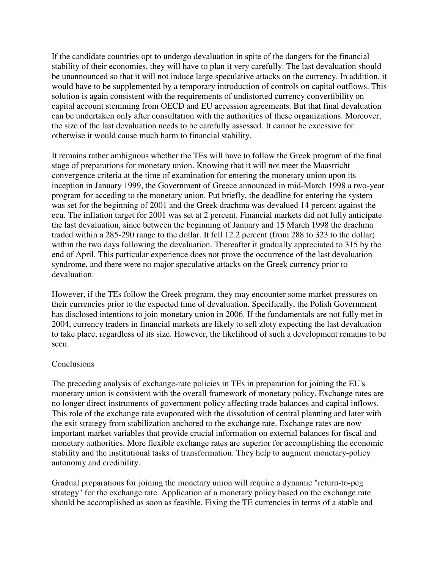If the candidate countries opt to undergo devaluation in spite of the dangers for the financial stability of their economies, they will have to plan it very carefully. The last devaluation should be unannounced so that it will not induce large speculative attacks on the currency. In addition, it would have to be supplemented by a temporary introduction of controls on capital outflows. This solution is again consistent with the requirements of undistorted currency convertibility on capital account stemming from OECD and EU accession agreements. But that final devaluation can be undertaken only after consultation with the authorities of these organizations. Moreover, the size of the last devaluation needs to be carefully assessed. It cannot be excessive for otherwise it would cause much harm to financial stability.

It remains rather ambiguous whether the TEs will have to follow the Greek program of the final stage of preparations for monetary union. Knowing that it will not meet the Maastricht convergence criteria at the time of examination for entering the monetary union upon its inception in January 1999, the Government of Greece announced in mid-March 1998 a two-year program for acceding to the monetary union. Put briefly, the deadline for entering the system was set for the beginning of 2001 and the Greek drachma was devalued 14 percent against the ecu. The inflation target for 2001 was set at 2 percent. Financial markets did not fully anticipate the last devaluation, since between the beginning of January and 15 March 1998 the drachma traded within a 285-290 range to the dollar. It fell 12.2 percent (from 288 to 323 to the dollar) within the two days following the devaluation. Thereafter it gradually appreciated to 315 by the end of April. This particular experience does not prove the occurrence of the last devaluation syndrome, and there were no major speculative attacks on the Greek currency prior to devaluation.

However, if the TEs follow the Greek program, they may encounter some market pressures on their currencies prior to the expected time of devaluation. Specifically, the Polish Government has disclosed intentions to join monetary union in 2006. If the fundamentals are not fully met in 2004, currency traders in financial markets are likely to sell zloty expecting the last devaluation to take place, regardless of its size. However, the likelihood of such a development remains to be seen.

## **Conclusions**

The preceding analysis of exchange-rate policies in TEs in preparation for joining the EU's monetary union is consistent with the overall framework of monetary policy. Exchange rates are no longer direct instruments of government policy affecting trade balances and capital inflows. This role of the exchange rate evaporated with the dissolution of central planning and later with the exit strategy from stabilization anchored to the exchange rate. Exchange rates are now important market variables that provide crucial information on external balances for fiscal and monetary authorities. More flexible exchange rates are superior for accomplishing the economic stability and the institutional tasks of transformation. They help to augment monetary-policy autonomy and credibility.

Gradual preparations for joining the monetary union will require a dynamic "return-to-peg strategy" for the exchange rate. Application of a monetary policy based on the exchange rate should be accomplished as soon as feasible. Fixing the TE currencies in terms of a stable and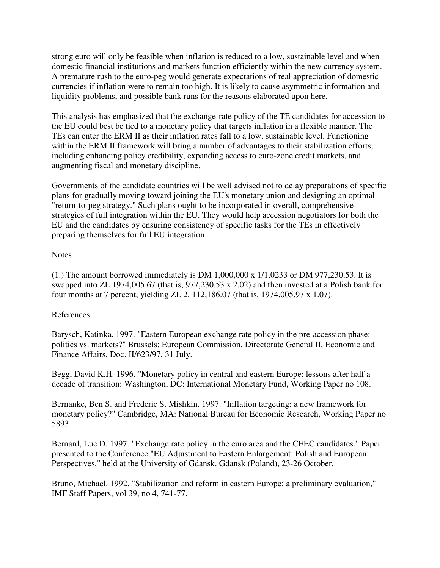strong euro will only be feasible when inflation is reduced to a low, sustainable level and when domestic financial institutions and markets function efficiently within the new currency system. A premature rush to the euro-peg would generate expectations of real appreciation of domestic currencies if inflation were to remain too high. It is likely to cause asymmetric information and liquidity problems, and possible bank runs for the reasons elaborated upon here.

This analysis has emphasized that the exchange-rate policy of the TE candidates for accession to the EU could best be tied to a monetary policy that targets inflation in a flexible manner. The TEs can enter the ERM II as their inflation rates fall to a low, sustainable level. Functioning within the ERM II framework will bring a number of advantages to their stabilization efforts, including enhancing policy credibility, expanding access to euro-zone credit markets, and augmenting fiscal and monetary discipline.

Governments of the candidate countries will be well advised not to delay preparations of specific plans for gradually moving toward joining the EU's monetary union and designing an optimal "return-to-peg strategy." Such plans ought to be incorporated in overall, comprehensive strategies of full integration within the EU. They would help accession negotiators for both the EU and the candidates by ensuring consistency of specific tasks for the TEs in effectively preparing themselves for full EU integration.

# **Notes**

(1.) The amount borrowed immediately is DM 1,000,000 x 1/1.0233 or DM 977,230.53. It is swapped into ZL 1974,005.67 (that is, 977,230.53 x 2.02) and then invested at a Polish bank for four months at 7 percent, yielding ZL 2, 112,186.07 (that is, 1974,005.97 x 1.07).

# References

Barysch, Katinka. 1997. "Eastern European exchange rate policy in the pre-accession phase: politics vs. markets?" Brussels: European Commission, Directorate General II, Economic and Finance Affairs, Doc. II/623/97, 31 July.

Begg, David K.H. 1996. "Monetary policy in central and eastern Europe: lessons after half a decade of transition: Washington, DC: International Monetary Fund, Working Paper no 108.

Bernanke, Ben S. and Frederic S. Mishkin. 1997. "Inflation targeting: a new framework for monetary policy?" Cambridge, MA: National Bureau for Economic Research, Working Paper no 5893.

Bernard, Luc D. 1997. "Exchange rate policy in the euro area and the CEEC candidates." Paper presented to the Conference "EU Adjustment to Eastern Enlargement: Polish and European Perspectives," held at the University of Gdansk. Gdansk (Poland), 23-26 October.

Bruno, Michael. 1992. "Stabilization and reform in eastern Europe: a preliminary evaluation," IMF Staff Papers, vol 39, no 4, 741-77.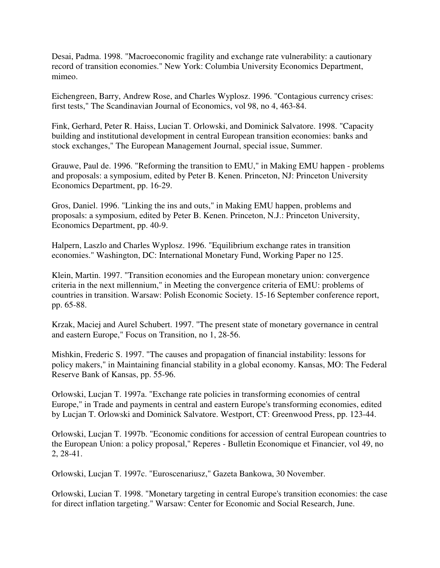Desai, Padma. 1998. "Macroeconomic fragility and exchange rate vulnerability: a cautionary record of transition economies." New York: Columbia University Economics Department, mimeo.

Eichengreen, Barry, Andrew Rose, and Charles Wyplosz. 1996. "Contagious currency crises: first tests," The Scandinavian Journal of Economics, vol 98, no 4, 463-84.

Fink, Gerhard, Peter R. Haiss, Lucian T. Orlowski, and Dominick Salvatore. 1998. "Capacity building and institutional development in central European transition economies: banks and stock exchanges," The European Management Journal, special issue, Summer.

Grauwe, Paul de. 1996. "Reforming the transition to EMU," in Making EMU happen - problems and proposals: a symposium, edited by Peter B. Kenen. Princeton, NJ: Princeton University Economics Department, pp. 16-29.

Gros, Daniel. 1996. "Linking the ins and outs," in Making EMU happen, problems and proposals: a symposium, edited by Peter B. Kenen. Princeton, N.J.: Princeton University, Economics Department, pp. 40-9.

Halpern, Laszlo and Charles Wyplosz. 1996. "Equilibrium exchange rates in transition economies." Washington, DC: International Monetary Fund, Working Paper no 125.

Klein, Martin. 1997. "Transition economies and the European monetary union: convergence criteria in the next millennium," in Meeting the convergence criteria of EMU: problems of countries in transition. Warsaw: Polish Economic Society. 15-16 September conference report, pp. 65-88.

Krzak, Maciej and Aurel Schubert. 1997. "The present state of monetary governance in central and eastern Europe," Focus on Transition, no 1, 28-56.

Mishkin, Frederic S. 1997. "The causes and propagation of financial instability: lessons for policy makers," in Maintaining financial stability in a global economy. Kansas, MO: The Federal Reserve Bank of Kansas, pp. 55-96.

Orlowski, Lucjan T. 1997a. "Exchange rate policies in transforming economies of central Europe," in Trade and payments in central and eastern Europe's transforming economies, edited by Lucjan T. Orlowski and Dominick Salvatore. Westport, CT: Greenwood Press, pp. 123-44.

Orlowski, Lucjan T. 1997b. "Economic conditions for accession of central European countries to the European Union: a policy proposal," Reperes - Bulletin Economique et Financier, vol 49, no 2, 28-41.

Orlowski, Lucjan T. 1997c. "Euroscenariusz," Gazeta Bankowa, 30 November.

Orlowski, Lucian T. 1998. "Monetary targeting in central Europe's transition economies: the case for direct inflation targeting." Warsaw: Center for Economic and Social Research, June.